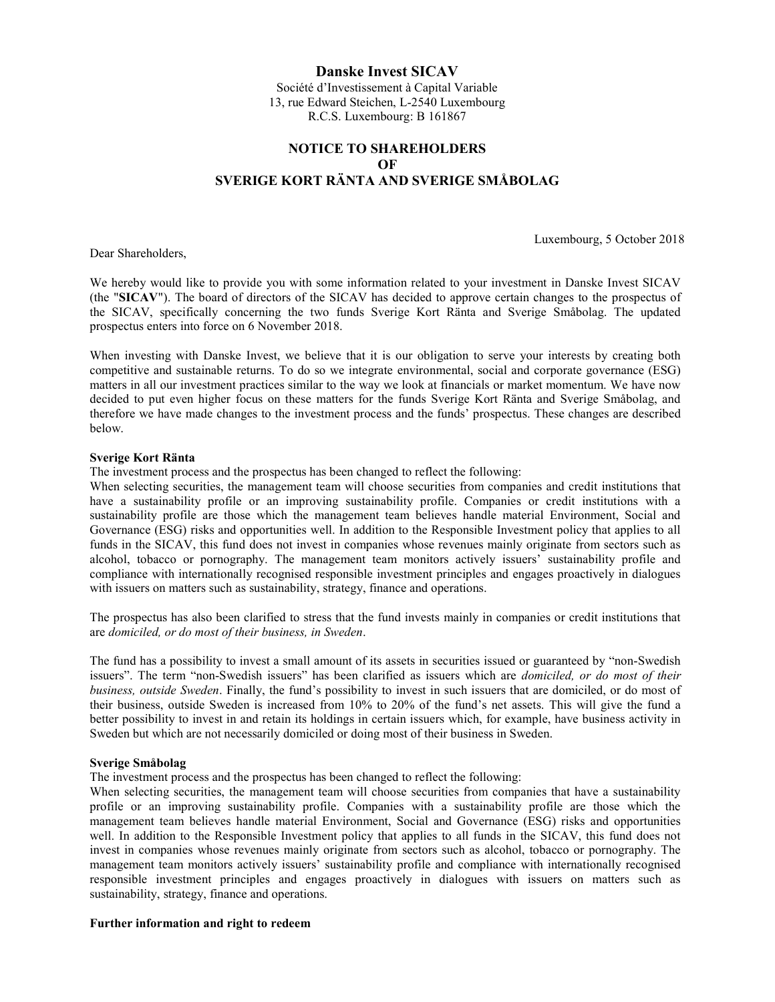## Danske Invest SICAV

Société d'Investissement à Capital Variable 13, rue Edward Steichen, L-2540 Luxembourg R.C.S. Luxembourg: B 161867

# NOTICE TO SHAREHOLDERS **OF** SVERIGE KORT RӒNTA AND SVERIGE SMÅBOLAG

Dear Shareholders,

Luxembourg, 5 October 2018

We hereby would like to provide you with some information related to your investment in Danske Invest SICAV (the "SICAV"). The board of directors of the SICAV has decided to approve certain changes to the prospectus of the SICAV, specifically concerning the two funds Sverige Kort Ränta and Sverige Småbolag. The updated prospectus enters into force on 6 November 2018.

When investing with Danske Invest, we believe that it is our obligation to serve your interests by creating both competitive and sustainable returns. To do so we integrate environmental, social and corporate governance (ESG) matters in all our investment practices similar to the way we look at financials or market momentum. We have now decided to put even higher focus on these matters for the funds Sverige Kort Ränta and Sverige Småbolag, and therefore we have made changes to the investment process and the funds' prospectus. These changes are described below.

## Sverige Kort Ränta

The investment process and the prospectus has been changed to reflect the following:

When selecting securities, the management team will choose securities from companies and credit institutions that have a sustainability profile or an improving sustainability profile. Companies or credit institutions with a sustainability profile are those which the management team believes handle material Environment, Social and Governance (ESG) risks and opportunities well. In addition to the Responsible Investment policy that applies to all funds in the SICAV, this fund does not invest in companies whose revenues mainly originate from sectors such as alcohol, tobacco or pornography. The management team monitors actively issuers' sustainability profile and compliance with internationally recognised responsible investment principles and engages proactively in dialogues with issuers on matters such as sustainability, strategy, finance and operations.

The prospectus has also been clarified to stress that the fund invests mainly in companies or credit institutions that are domiciled, or do most of their business, in Sweden.

The fund has a possibility to invest a small amount of its assets in securities issued or guaranteed by "non-Swedish issuers". The term "non-Swedish issuers" has been clarified as issuers which are domiciled, or do most of their business, outside Sweden. Finally, the fund's possibility to invest in such issuers that are domiciled, or do most of their business, outside Sweden is increased from 10% to 20% of the fund's net assets. This will give the fund a better possibility to invest in and retain its holdings in certain issuers which, for example, have business activity in Sweden but which are not necessarily domiciled or doing most of their business in Sweden.

### Sverige Småbolag

The investment process and the prospectus has been changed to reflect the following:

When selecting securities, the management team will choose securities from companies that have a sustainability profile or an improving sustainability profile. Companies with a sustainability profile are those which the management team believes handle material Environment, Social and Governance (ESG) risks and opportunities well. In addition to the Responsible Investment policy that applies to all funds in the SICAV, this fund does not invest in companies whose revenues mainly originate from sectors such as alcohol, tobacco or pornography. The management team monitors actively issuers' sustainability profile and compliance with internationally recognised responsible investment principles and engages proactively in dialogues with issuers on matters such as sustainability, strategy, finance and operations.

### Further information and right to redeem